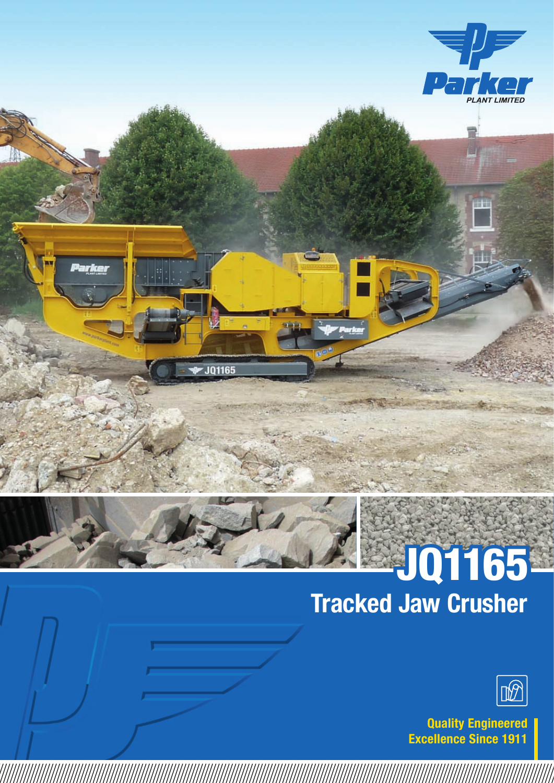

# Tracked Jaw Crusher



Quality Engineered Excellence Since 1911